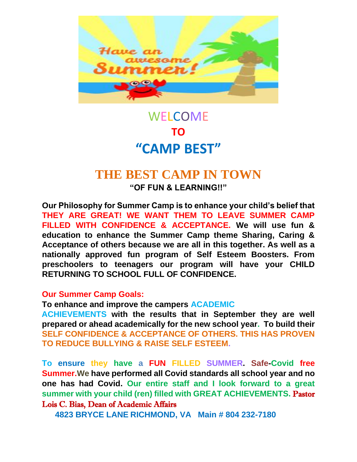

# WELCOME **TO "CAMP BEST"**

# **THE BEST CAMP IN TOWN**

**"OF FUN & LEARNING!!"** 

**Our Philosophy for Summer Camp is to enhance your child's belief that THEY ARE GREAT! WE WANT THEM TO LEAVE SUMMER CAMP FILLED WITH CONFIDENCE & ACCEPTANCE. We will use fun & education to enhance the Summer Camp theme Sharing, Caring & Acceptance of others because we are all in this together. As well as a nationally approved fun program of Self Esteem Boosters. From preschoolers to teenagers our program will have your CHILD RETURNING TO SCHOOL FULL OF CONFIDENCE.** 

### **Our Summer Camp Goals:**

**To enhance and improve the campers ACADEMIC** 

**ACHIEVEMENTS with the results that in September they are well prepared or ahead academically for the new school year. To build their SELF CONFIDENCE & ACCEPTANCE OF OTHERS. THIS HAS PROVEN TO REDUCE BULLYING & RAISE SELF ESTEEM.**

**To ensure they have a FUN FILLED SUMMER. Safe-Covid free Summer.We have performed all Covid standards all school year and no one has had Covid. Our entire staff and I look forward to a great summer with your child (ren) filled with GREAT ACHIEVEMENTS.** Pastor Lois C. Bias, Dean of Academic Affairs

**4823 BRYCE LANE RICHMOND, VA Main # 804 232-7180**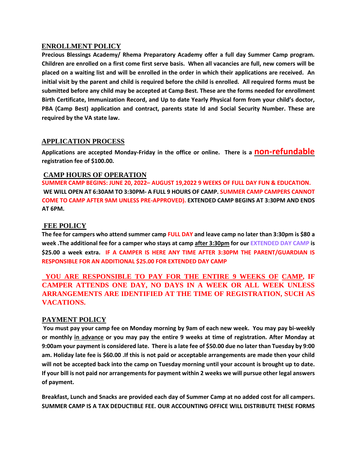#### **ENROLLMENT POLICY**

**Precious Blessings Academy/ Rhema Preparatory Academy offer a full day Summer Camp program. Children are enrolled on a first come first serve basis. When all vacancies are full, new comers will be placed on a waiting list and will be enrolled in the order in which their applications are received. An initial visit by the parent and child is required before the child is enrolled. All required forms must be submitted before any child may be accepted at Camp Best. These are the forms needed for enrollment Birth Certificate, Immunization Record, and Up to date Yearly Physical form from your child's doctor, PBA (Camp Best) application and contract, parents state Id and Social Security Number. These are required by the VA state law.** 

#### **APPLICATION PROCESS**

**Applications are accepted Monday-Friday in the office or online. There is a non-refundable registration fee of \$100.00.** 

#### **CAMP HOURS OF OPERATION**

**SUMMER CAMP BEGINS: JUNE 20, 2022– AUGUST 19,2022 9 WEEKS OF FULL DAY FUN & EDUCATION. WE WILL OPEN AT 6:30AM TO 3:30PM- A FULL 9 HOURS OF CAMP. SUMMER CAMP CAMPERS CANNOT COME TO CAMP AFTER 9AM UNLESS PRE-APPROVED). EXTENDED CAMP BEGINS AT 3:30PM AND ENDS AT 6PM.** 

#### **FEE POLICY**

**The fee for campers who attend summer camp FULL DAY and leave camp no later than 3:30pm is \$80 a week .The additional fee for a camper who stays at camp after 3:30pm for our EXTENDED DAY CAMP is \$25.00 a week extra. IF A CAMPER IS HERE ANY TIME AFTER 3:30PM THE PARENT/GUARDIAN IS RESPONSIBLE FOR AN ADDITIONAL \$25.00 FOR EXTENDED DAY CAMP** 

 **YOU ARE RESPONSIBLE TO PAY FOR THE ENTIRE 9 WEEKS OF CAMP, IF CAMPER ATTENDS ONE DAY, NO DAYS IN A WEEK OR ALL WEEK UNLESS ARRANGEMENTS ARE IDENTIFIED AT THE TIME OF REGISTRATION, SUCH AS VACATIONS.**

#### **PAYMENT POLICY**

**You must pay your camp fee on Monday morning by 9am of each new week. You may pay bi-weekly or monthly in advance or you may pay the entire 9 weeks at time of registration. After Monday at 9:00am your payment is considered late. There is a late fee of \$50.00 due no later than Tuesday by 9:00 am. Holiday late fee is \$60.00 .If this is not paid or acceptable arrangements are made then your child will not be accepted back into the camp on Tuesday morning until your account is brought up to date. If your bill is not paid nor arrangements for payment within 2 weeks we will pursue other legal answers of payment.** 

**Breakfast, Lunch and Snacks are provided each day of Summer Camp at no added cost for all campers. SUMMER CAMP IS A TAX DEDUCTIBLE FEE. OUR ACCOUNTING OFFICE WILL DISTRIBUTE THESE FORMS**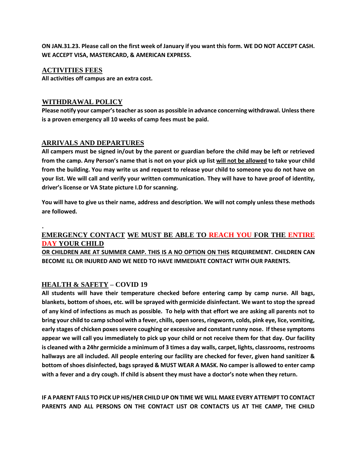**ON JAN.31.23. Please call on the first week of January if you want this form. WE DO NOT ACCEPT CASH. WE ACCEPT VISA, MASTERCARD, & AMERICAN EXPRESS.**

#### **ACTIVITIES FEES**

**.** 

**All activities off campus are an extra cost.**

#### **WITHDRAWAL POLICY**

**Please notify your camper's teacher as soon as possible in advance concerning withdrawal. Unless there is a proven emergency all 10 weeks of camp fees must be paid.** 

#### **ARRIVALS AND DEPARTURES**

**All campers must be signed in/out by the parent or guardian before the child may be left or retrieved from the camp. Any Person's name that is not on your pick up list will not be allowed to take your child from the building. You may write us and request to release your child to someone you do not have on your list. We will call and verify your written communication. They will have to have proof of identity, driver's license or VA State picture I.D for scanning.**

**You will have to give us their name, address and description. We will not comply unless these methods are followed.** 

#### **EMERGENCY CONTACT WE MUST BE ABLE TO REACH YOU FOR THE ENTIRE DAY YOUR CHILD**

**OR CHILDREN ARE AT SUMMER CAMP. THIS IS A NO OPTION ON THIS REQUIREMENT. CHILDREN CAN BECOME ILL OR INJURED AND WE NEED TO HAVE IMMEDIATE CONTACT WITH OUR PARENTS.** 

#### **HEALTH & SAFETY – COVID 19**

**All students will have their temperature checked before entering camp by camp nurse. All bags, blankets, bottom of shoes, etc. will be sprayed with germicide disinfectant. We want to stop the spread of any kind of infections as much as possible. To help with that effort we are asking all parents not to bring your child to camp school with a fever, chills, open sores, ringworm, colds, pink eye, lice, vomiting, early stages of chicken poxes severe coughing or excessive and constant runny nose. If these symptoms appear we will call you immediately to pick up your child or not receive them for that day. Our facility is cleaned with a 24hr germicide a minimum of 3 times a day walls, carpet, lights, classrooms, restrooms hallways are all included. All people entering our facility are checked for fever, given hand sanitizer & bottom of shoes disinfected, bags sprayed & MUST WEAR A MASK. No camper is allowed to enter camp with a fever and a dry cough. If child is absent they must have a doctor's note when they return.**

**IF A PARENT FAILS TO PICK UP HIS/HER CHILD UP ON TIME WE WILL MAKE EVERY ATTEMPT TO CONTACT PARENTS AND ALL PERSONS ON THE CONTACT LIST OR CONTACTS US AT THE CAMP, THE CHILD**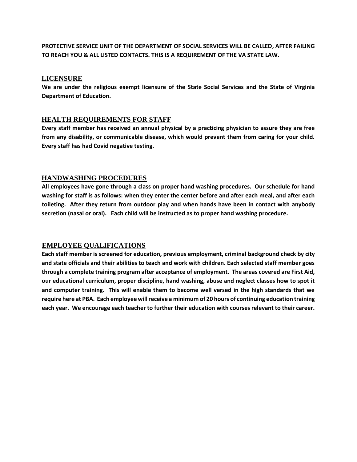**PROTECTIVE SERVICE UNIT OF THE DEPARTMENT OF SOCIAL SERVICES WILL BE CALLED, AFTER FAILING TO REACH YOU & ALL LISTED CONTACTS. THIS IS A REQUIREMENT OF THE VA STATE LAW.** 

#### **LICENSURE**

**We are under the religious exempt licensure of the State Social Services and the State of Virginia Department of Education.** 

#### **HEALTH REQUIREMENTS FOR STAFF**

**Every staff member has received an annual physical by a practicing physician to assure they are free from any disability, or communicable disease, which would prevent them from caring for your child. Every staff has had Covid negative testing.**

#### **HANDWASHING PROCEDURES**

**All employees have gone through a class on proper hand washing procedures. Our schedule for hand washing for staff is as follows: when they enter the center before and after each meal, and after each toileting. After they return from outdoor play and when hands have been in contact with anybody secretion (nasal or oral). Each child will be instructed as to proper hand washing procedure.** 

#### **EMPLOYEE QUALIFICATIONS**

**Each staff member is screened for education, previous employment, criminal background check by city and state officials and their abilities to teach and work with children. Each selected staff member goes through a complete training program after acceptance of employment. The areas covered are First Aid, our educational curriculum, proper discipline, hand washing, abuse and neglect classes how to spot it and computer training. This will enable them to become well versed in the high standards that we require here at PBA. Each employee will receive a minimum of 20 hours of continuing education training each year. We encourage each teacher to further their education with courses relevant to their career.**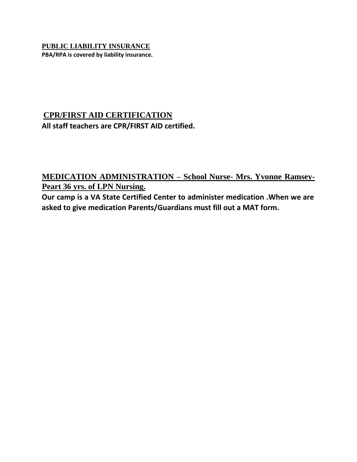#### **PUBLIC LIABILITY INSURANCE PBA/RPA is covered by liability insurance.**

# **CPR/FIRST AID CERTIFICATION All staff teachers are CPR/FIRST AID certified.**

## **MEDICATION ADMINISTRATION – School Nurse- Mrs. Yvonne Ramsey-Peart 36 yrs. of LPN Nursing.**

**Our camp is a VA State Certified Center to administer medication .When we are asked to give medication Parents/Guardians must fill out a MAT form.**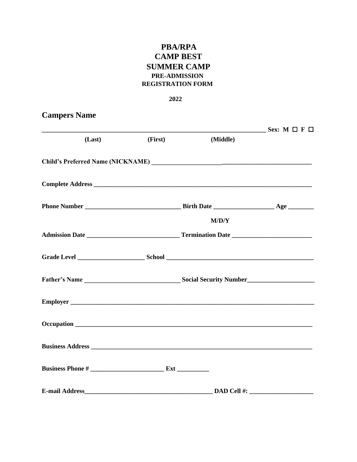## **PBA/RPA CAMP BEST SUMMER CAMP** PRE-ADMISSION **REGISTRATION FORM**

#### 2022

# **Campers Name**  $Sex: M \square F \square$  $(Last)$ (First) (Middle)  $M/D/Y$ Admission Date **Material Contract Contract Contract Contract Contract Contract Contract Contract Contract Contract Contract Contract Contract Contract Contract Contract Contract Contract Contract Contract Contract Contract** Occupation **contract the contract of the contract of the contract of the contract of the contract of the contract of the contract of the contract of the contract of the contract of the contract of the contract of the contr Business Address Business Phone #**

E-mail Address DAD Cell #: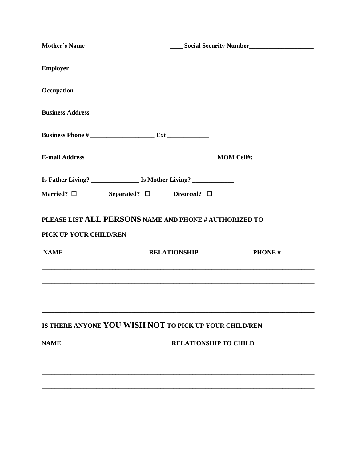|                        | Married? $\square$ Separated? $\square$ Divorced? $\square$ |               |  |  |
|------------------------|-------------------------------------------------------------|---------------|--|--|
| PICK UP YOUR CHILD/REN | PLEASE LIST ALL PERSONS NAME AND PHONE # AUTHORIZED TO      |               |  |  |
| <b>NAME</b>            | <b>RELATIONSHIP</b>                                         | <b>PHONE#</b> |  |  |
|                        |                                                             |               |  |  |
|                        | IS THERE ANYONE YOU WISH NOT TO PICK UP YOUR CHILD/REN      |               |  |  |
| <b>NAME</b>            | <b>RELATIONSHIP TO CHILD</b>                                |               |  |  |
|                        |                                                             |               |  |  |
|                        |                                                             |               |  |  |
|                        |                                                             |               |  |  |
|                        |                                                             |               |  |  |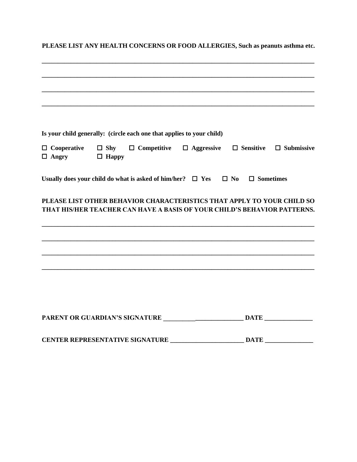**PLEASE LIST ANY HEALTH CONCERNS OR FOOD ALLERGIES, Such as peanuts asthma etc.**

|                                                  | Is your child generally: (circle each one that applies to your child)                                                                              |  |                                                                                                                       |  |  |
|--------------------------------------------------|----------------------------------------------------------------------------------------------------------------------------------------------------|--|-----------------------------------------------------------------------------------------------------------------------|--|--|
| $\Box$ Angry $\Box$ Happy                        | $\Box$ Cooperative $\Box$ Shy $\Box$ Competitive $\Box$ Aggressive $\Box$ Sensitive $\Box$ Submissive                                              |  |                                                                                                                       |  |  |
|                                                  | Usually does your child do what is asked of him/her? $\Box$ Yes $\Box$ No $\Box$ Sometimes                                                         |  |                                                                                                                       |  |  |
|                                                  | PLEASE LIST OTHER BEHAVIOR CHARACTERISTICS THAT APPLY TO YOUR CHILD SO<br>THAT HIS/HER TEACHER CAN HAVE A BASIS OF YOUR CHILD'S BEHAVIOR PATTERNS. |  |                                                                                                                       |  |  |
|                                                  |                                                                                                                                                    |  | <u> 1989 - Johann Barn, amerikan bernama di sebagai bernama di sebagai bernama di sebagai bernama di sebagai bern</u> |  |  |
|                                                  |                                                                                                                                                    |  |                                                                                                                       |  |  |
| CENTER REPRESENTATIVE SIGNATURE ________________ |                                                                                                                                                    |  | <b>DATE</b>                                                                                                           |  |  |